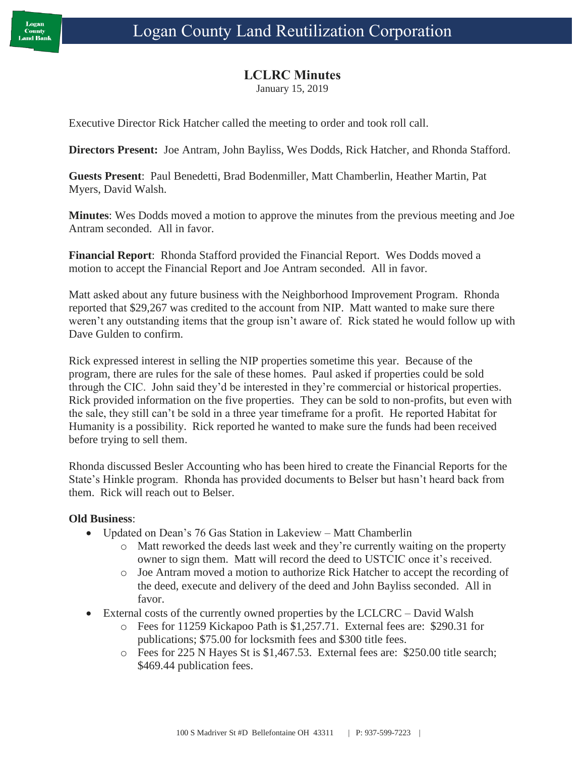## **LCLRC Minutes**

January 15, 2019

Executive Director Rick Hatcher called the meeting to order and took roll call.

**Directors Present:** Joe Antram, John Bayliss, Wes Dodds, Rick Hatcher, and Rhonda Stafford.

**Guests Present**: Paul Benedetti, Brad Bodenmiller, Matt Chamberlin, Heather Martin, Pat Myers, David Walsh.

**Minutes**: Wes Dodds moved a motion to approve the minutes from the previous meeting and Joe Antram seconded. All in favor.

**Financial Report**: Rhonda Stafford provided the Financial Report. Wes Dodds moved a motion to accept the Financial Report and Joe Antram seconded. All in favor.

Matt asked about any future business with the Neighborhood Improvement Program. Rhonda reported that \$29,267 was credited to the account from NIP. Matt wanted to make sure there weren't any outstanding items that the group isn't aware of. Rick stated he would follow up with Dave Gulden to confirm.

Rick expressed interest in selling the NIP properties sometime this year. Because of the program, there are rules for the sale of these homes. Paul asked if properties could be sold through the CIC. John said they'd be interested in they're commercial or historical properties. Rick provided information on the five properties. They can be sold to non-profits, but even with the sale, they still can't be sold in a three year timeframe for a profit. He reported Habitat for Humanity is a possibility. Rick reported he wanted to make sure the funds had been received before trying to sell them.

Rhonda discussed Besler Accounting who has been hired to create the Financial Reports for the State's Hinkle program. Rhonda has provided documents to Belser but hasn't heard back from them. Rick will reach out to Belser.

## **Old Business**:

- Updated on Dean's 76 Gas Station in Lakeview Matt Chamberlin
	- o Matt reworked the deeds last week and they're currently waiting on the property owner to sign them. Matt will record the deed to USTCIC once it's received.
	- o Joe Antram moved a motion to authorize Rick Hatcher to accept the recording of the deed, execute and delivery of the deed and John Bayliss seconded. All in favor.
- External costs of the currently owned properties by the LCLCRC David Walsh
	- o Fees for 11259 Kickapoo Path is \$1,257.71. External fees are: \$290.31 for publications; \$75.00 for locksmith fees and \$300 title fees.
	- o Fees for 225 N Hayes St is \$1,467.53. External fees are: \$250.00 title search; \$469.44 publication fees.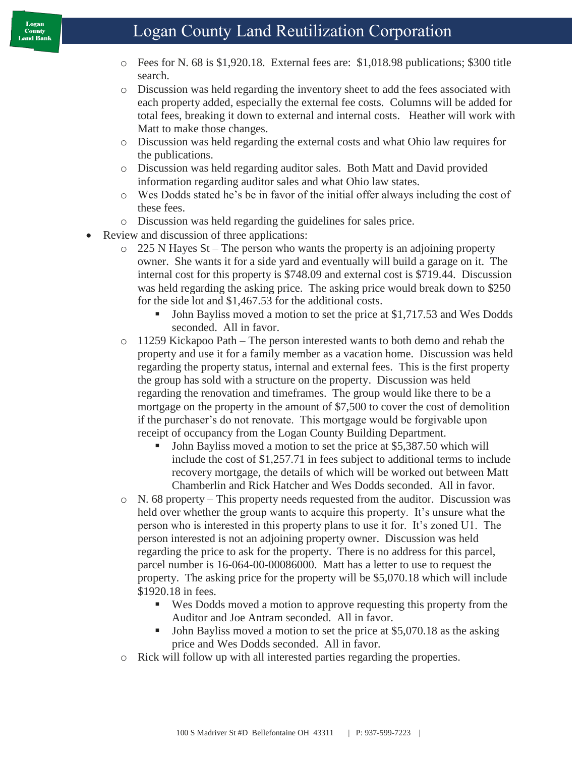## Logan County Land Reutilization Corporation

- o Fees for N. 68 is \$1,920.18. External fees are: \$1,018.98 publications; \$300 title search.
- o Discussion was held regarding the inventory sheet to add the fees associated with each property added, especially the external fee costs. Columns will be added for total fees, breaking it down to external and internal costs. Heather will work with Matt to make those changes.
- o Discussion was held regarding the external costs and what Ohio law requires for the publications.
- o Discussion was held regarding auditor sales. Both Matt and David provided information regarding auditor sales and what Ohio law states.
- o Wes Dodds stated he's be in favor of the initial offer always including the cost of these fees.
- o Discussion was held regarding the guidelines for sales price.
- Review and discussion of three applications:
	- $\circ$  225 N Hayes St The person who wants the property is an adjoining property owner. She wants it for a side yard and eventually will build a garage on it. The internal cost for this property is \$748.09 and external cost is \$719.44. Discussion was held regarding the asking price. The asking price would break down to \$250 for the side lot and \$1,467.53 for the additional costs.
		- John Bayliss moved a motion to set the price at \$1,717.53 and Wes Dodds seconded. All in favor.
	- o 11259 Kickapoo Path The person interested wants to both demo and rehab the property and use it for a family member as a vacation home. Discussion was held regarding the property status, internal and external fees. This is the first property the group has sold with a structure on the property. Discussion was held regarding the renovation and timeframes. The group would like there to be a mortgage on the property in the amount of \$7,500 to cover the cost of demolition if the purchaser's do not renovate. This mortgage would be forgivable upon receipt of occupancy from the Logan County Building Department.
		- John Bayliss moved a motion to set the price at \$5,387.50 which will include the cost of \$1,257.71 in fees subject to additional terms to include recovery mortgage, the details of which will be worked out between Matt Chamberlin and Rick Hatcher and Wes Dodds seconded. All in favor.
	- o N. 68 property This property needs requested from the auditor. Discussion was held over whether the group wants to acquire this property. It's unsure what the person who is interested in this property plans to use it for. It's zoned U1. The person interested is not an adjoining property owner. Discussion was held regarding the price to ask for the property. There is no address for this parcel, parcel number is 16-064-00-00086000. Matt has a letter to use to request the property. The asking price for the property will be \$5,070.18 which will include \$1920.18 in fees.
		- Wes Dodds moved a motion to approve requesting this property from the Auditor and Joe Antram seconded. All in favor.
		- John Bayliss moved a motion to set the price at \$5,070.18 as the asking price and Wes Dodds seconded. All in favor.
	- o Rick will follow up with all interested parties regarding the properties.